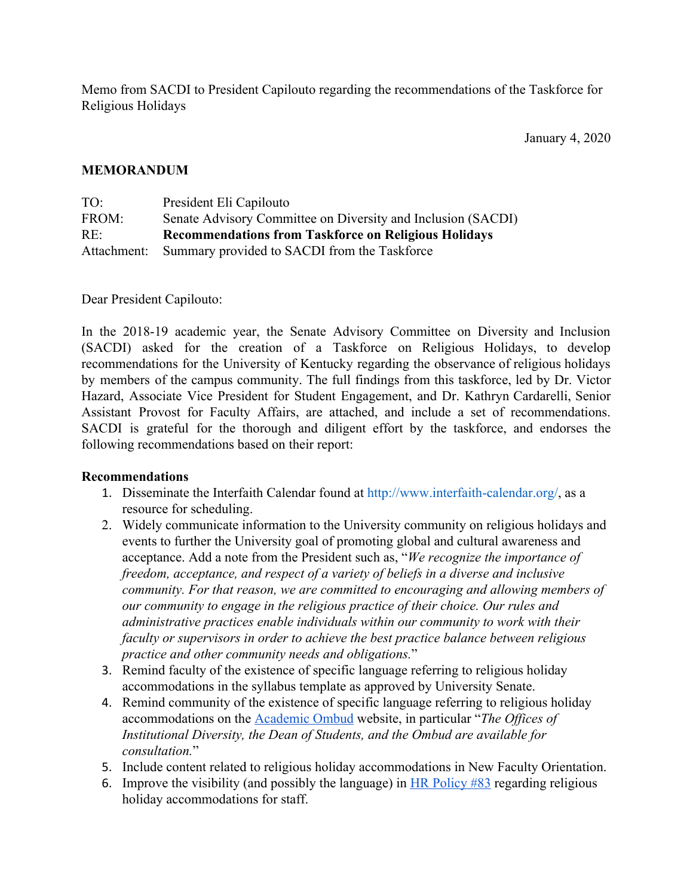Memo from SACDI to President Capilouto regarding the recommendations of the Taskforce for Religious Holidays

## **MEMORANDUM**

| TO:   | President Eli Capilouto                                      |
|-------|--------------------------------------------------------------|
| FROM: | Senate Advisory Committee on Diversity and Inclusion (SACDI) |
| RE:   | <b>Recommendations from Taskforce on Religious Holidays</b>  |
|       | Attachment: Summary provided to SACDI from the Taskforce     |

Dear President Capilouto:

In the 2018-19 academic year, the Senate Advisory Committee on Diversity and Inclusion (SACDI) asked for the creation of a Taskforce on Religious Holidays, to develop recommendations for the University of Kentucky regarding the observance of religious holidays by members of the campus community. The full findings from this taskforce, led by Dr. Victor Hazard, Associate Vice President for Student Engagement, and Dr. Kathryn Cardarelli, Senior Assistant Provost for Faculty Affairs, are attached, and include a set of recommendations. SACDI is grateful for the thorough and diligent effort by the taskforce, and endorses the following recommendations based on their report:

## **Recommendations**

- 1. Disseminate the Interfaith Calendar found at http://www.interfaith-calendar.org/, as a resource for scheduling.
- 2. Widely communicate information to the University community on religious holidays and events to further the University goal of promoting global and cultural awareness and acceptance. Add a note from the President such as, "*We recognize the importance of freedom, acceptance, and respect of a variety of beliefs in a diverse and inclusive community. For that reason, we are committed to encouraging and allowing members of our community to engage in the religious practice of their choice. Our rules and administrative practices enable individuals within our community to work with their faculty or supervisors in order to achieve the best practice balance between religious practice and other community needs and obligations.*"
- 3. Remind faculty of the existence of specific language referring to religious holiday accommodations in the syllabus template as approved by University Senate.
- 4. Remind community of the existence of specific language referring to religious holiday accommodations on the [Academic Ombud](https://www.uky.edu/ombud/religious-observation-accommodations) website, in particular "*The Offices of Institutional Diversity, the Dean of Students, and the Ombud are available for consultation.*"
- 5. Include content related to religious holiday accommodations in New Faculty Orientation.
- 6. Improve the visibility (and possibly the language) in  $HR$  Policy  $#83$  regarding religious holiday accommodations for staff.